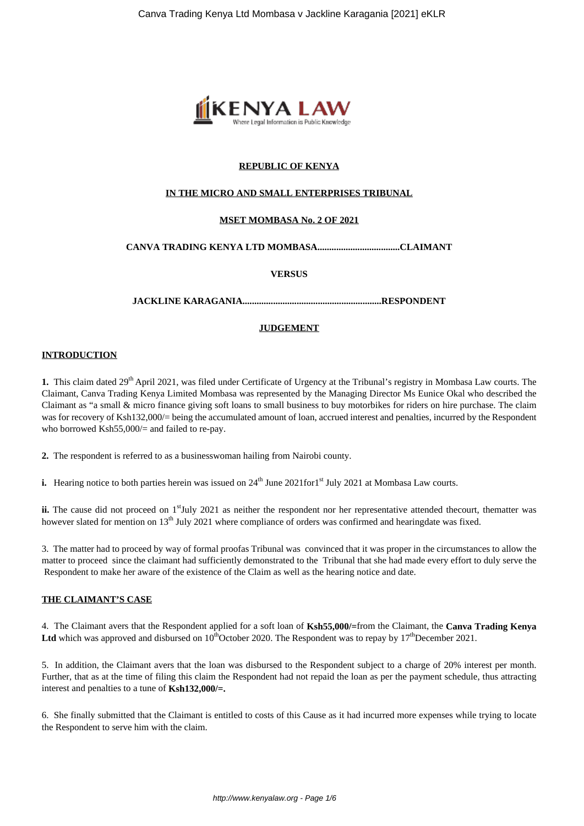

# **REPUBLIC OF KENYA**

#### **IN THE MICRO AND SMALL ENTERPRISES TRIBUNAL**

#### **MSET MOMBASA No. 2 OF 2021**

#### **CANVA TRADING KENYA LTD MOMBASA...................................CLAIMANT**

#### **VERSUS**

**JACKLINE KARAGANIA...........................................................RESPONDENT**

#### **JUDGEMENT**

#### **INTRODUCTION**

**1.** This claim dated 29<sup>th</sup> April 2021, was filed under Certificate of Urgency at the Tribunal's registry in Mombasa Law courts. The Claimant, Canva Trading Kenya Limited Mombasa was represented by the Managing Director Ms Eunice Okal who described the Claimant as "a small & micro finance giving soft loans to small business to buy motorbikes for riders on hire purchase. The claim was for recovery of Ksh132,000/= being the accumulated amount of loan, accrued interest and penalties, incurred by the Respondent who borrowed Ksh55,000/= and failed to re-pay.

**2.** The respondent is referred to as a businesswoman hailing from Nairobi county.

**i.** Hearing notice to both parties herein was issued on 24<sup>th</sup> June 2021for1<sup>st</sup> July 2021 at Mombasa Law courts.

**ii.** The cause did not proceed on 1<sup>st</sup>July 2021 as neither the respondent nor her representative attended thecourt, thematter was however slated for mention on  $13<sup>th</sup>$  July 2021 where compliance of orders was confirmed and hearingdate was fixed.

3. The matter had to proceed by way of formal proofas Tribunal was convinced that it was proper in the circumstances to allow the matter to proceed since the claimant had sufficiently demonstrated to the Tribunal that she had made every effort to duly serve the Respondent to make her aware of the existence of the Claim as well as the hearing notice and date.

## **THE CLAIMANT'S CASE**

4. The Claimant avers that the Respondent applied for a soft loan of **Ksh55,000/=**from the Claimant, the **Canva Trading Kenya** Ltd which was approved and disbursed on  $10<sup>th</sup>$ October 2020. The Respondent was to repay by  $17<sup>th</sup>$ December 2021.

5. In addition, the Claimant avers that the loan was disbursed to the Respondent subject to a charge of 20% interest per month. Further, that as at the time of filing this claim the Respondent had not repaid the loan as per the payment schedule, thus attracting interest and penalties to a tune of **Ksh132,000/=.**

6. She finally submitted that the Claimant is entitled to costs of this Cause as it had incurred more expenses while trying to locate the Respondent to serve him with the claim.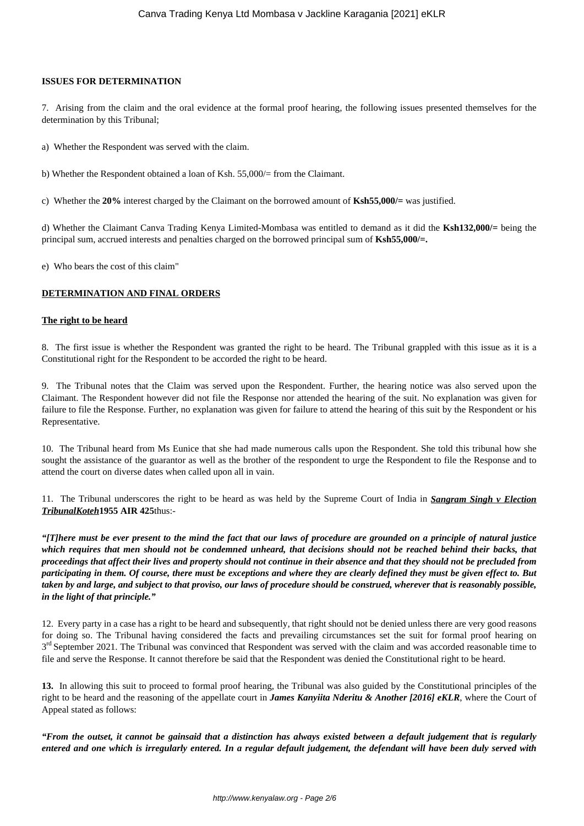#### **ISSUES FOR DETERMINATION**

7. Arising from the claim and the oral evidence at the formal proof hearing, the following issues presented themselves for the determination by this Tribunal;

- a) Whether the Respondent was served with the claim.
- b) Whether the Respondent obtained a loan of Ksh. 55,000/= from the Claimant.
- c) Whether the **20%** interest charged by the Claimant on the borrowed amount of **Ksh55,000/=** was justified.

d) Whether the Claimant Canva Trading Kenya Limited-Mombasa was entitled to demand as it did the **Ksh132,000/=** being the principal sum, accrued interests and penalties charged on the borrowed principal sum of **Ksh55,000/=.**

e) Who bears the cost of this claim"

#### **DETERMINATION AND FINAL ORDERS**

#### **The right to be heard**

8. The first issue is whether the Respondent was granted the right to be heard. The Tribunal grappled with this issue as it is a Constitutional right for the Respondent to be accorded the right to be heard.

9. The Tribunal notes that the Claim was served upon the Respondent. Further, the hearing notice was also served upon the Claimant. The Respondent however did not file the Response nor attended the hearing of the suit. No explanation was given for failure to file the Response. Further, no explanation was given for failure to attend the hearing of this suit by the Respondent or his Representative.

10. The Tribunal heard from Ms Eunice that she had made numerous calls upon the Respondent. She told this tribunal how she sought the assistance of the guarantor as well as the brother of the respondent to urge the Respondent to file the Response and to attend the court on diverse dates when called upon all in vain.

11. The Tribunal underscores the right to be heard as was held by the Supreme Court of India in *Sangram Singh v Election TribunalKoteh***1955 AIR 425**thus:-

*"[T]here must be ever present to the mind the fact that our laws of procedure are grounded on a principle of natural justice which requires that men should not be condemned unheard, that decisions should not be reached behind their backs, that proceedings that affect their lives and property should not continue in their absence and that they should not be precluded from participating in them. Of course, there must be exceptions and where they are clearly defined they must be given effect to. But taken by and large, and subject to that proviso, our laws of procedure should be construed, wherever that is reasonably possible, in the light of that principle."*

12. Every party in a case has a right to be heard and subsequently, that right should not be denied unless there are very good reasons for doing so. The Tribunal having considered the facts and prevailing circumstances set the suit for formal proof hearing on 3<sup>rd</sup> September 2021. The Tribunal was convinced that Respondent was served with the claim and was accorded reasonable time to file and serve the Response. It cannot therefore be said that the Respondent was denied the Constitutional right to be heard.

**13.** In allowing this suit to proceed to formal proof hearing, the Tribunal was also guided by the Constitutional principles of the right to be heard and the reasoning of the appellate court in *James Kanyiita Nderitu & Another [2016] eKLR*, where the Court of Appeal stated as follows:

*"From the outset, it cannot be gainsaid that a distinction has always existed between a default judgement that is regularly entered and one which is irregularly entered. In a regular default judgement, the defendant will have been duly served with*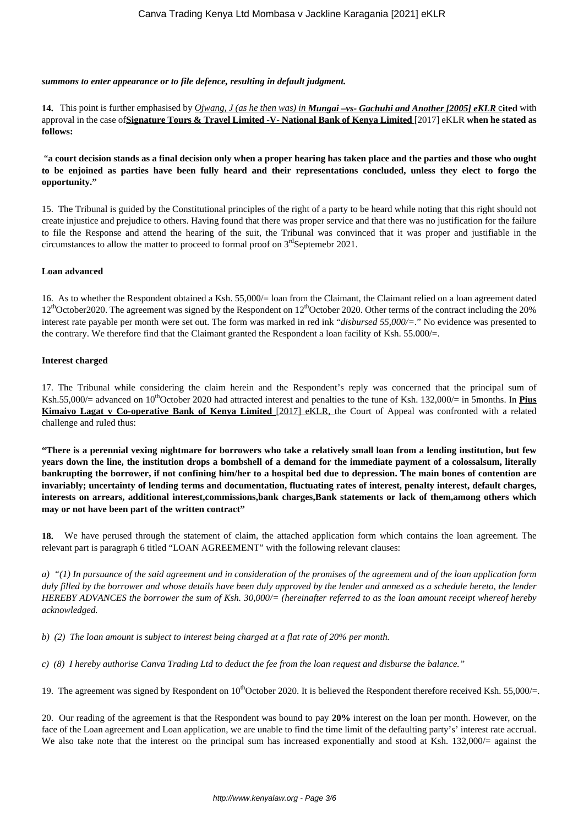#### *summons to enter appearance or to file defence, resulting in default judgment.*

**14.** This point is further emphasised by *Ojwang, J (as he then was) in Mungai –vs- Gachuhi and Another [2005] eKLR* c**ited** with approval in the case of**Signature Tours & Travel Limited -V- National Bank of Kenya Limited** [2017] eKLR **when he stated as follows:** 

"**a court decision stands as a final decision only when a proper hearing has taken place and the parties and those who ought to be enjoined as parties have been fully heard and their representations concluded, unless they elect to forgo the opportunity."**

15. The Tribunal is guided by the Constitutional principles of the right of a party to be heard while noting that this right should not create injustice and prejudice to others. Having found that there was proper service and that there was no justification for the failure to file the Response and attend the hearing of the suit, the Tribunal was convinced that it was proper and justifiable in the circumstances to allow the matter to proceed to formal proof on  $3<sup>rd</sup>$ Septemebr 2021.

#### **Loan advanced**

16. As to whether the Respondent obtained a Ksh. 55,000/= loan from the Claimant, the Claimant relied on a loan agreement dated  $12<sup>th</sup> October2020$ . The agreement was signed by the Respondent on  $12<sup>th</sup> October2020$ . Other terms of the contract including the 20% interest rate payable per month were set out. The form was marked in red ink "*disbursed 55,000/=*." No evidence was presented to the contrary. We therefore find that the Claimant granted the Respondent a loan facility of Ksh. 55.000/=.

# **Interest charged**

17. The Tribunal while considering the claim herein and the Respondent's reply was concerned that the principal sum of Ksh.55,000/= advanced on 10<sup>th</sup>October 2020 had attracted interest and penalties to the tune of Ksh. 132,000/= in 5months. In **Pius Kimaiyo Lagat v Co-operative Bank of Kenya Limited** [2017] eKLR, the Court of Appeal was confronted with a related challenge and ruled thus:

**"There is a perennial vexing nightmare for borrowers who take a relatively small loan from a lending institution, but few years down the line, the institution drops a bombshell of a demand for the immediate payment of a colossalsum, literally bankrupting the borrower, if not confining him/her to a hospital bed due to depression. The main bones of contention are invariably; uncertainty of lending terms and documentation, fluctuating rates of interest, penalty interest, default charges, interests on arrears, additional interest,commissions,bank charges,Bank statements or lack of them,among others which may or not have been part of the written contract"**

**18.** We have perused through the statement of claim, the attached application form which contains the loan agreement. The relevant part is paragraph 6 titled "LOAN AGREEMENT" with the following relevant clauses:

*a) "(1) In pursuance of the said agreement and in consideration of the promises of the agreement and of the loan application form duly filled by the borrower and whose details have been duly approved by the lender and annexed as a schedule hereto, the lender HEREBY ADVANCES the borrower the sum of Ksh. 30,000/= (hereinafter referred to as the loan amount receipt whereof hereby acknowledged.*

*b) (2) The loan amount is subject to interest being charged at a flat rate of 20% per month.* 

*c) (8) I hereby authorise Canva Trading Ltd to deduct the fee from the loan request and disburse the balance."* 

19. The agreement was signed by Respondent on  $10^{th}$ October 2020. It is believed the Respondent therefore received Ksh. 55,000/=.

20. Our reading of the agreement is that the Respondent was bound to pay **20%** interest on the loan per month. However, on the face of the Loan agreement and Loan application, we are unable to find the time limit of the defaulting party's' interest rate accrual. We also take note that the interest on the principal sum has increased exponentially and stood at Ksh. 132,000 $/=$  against the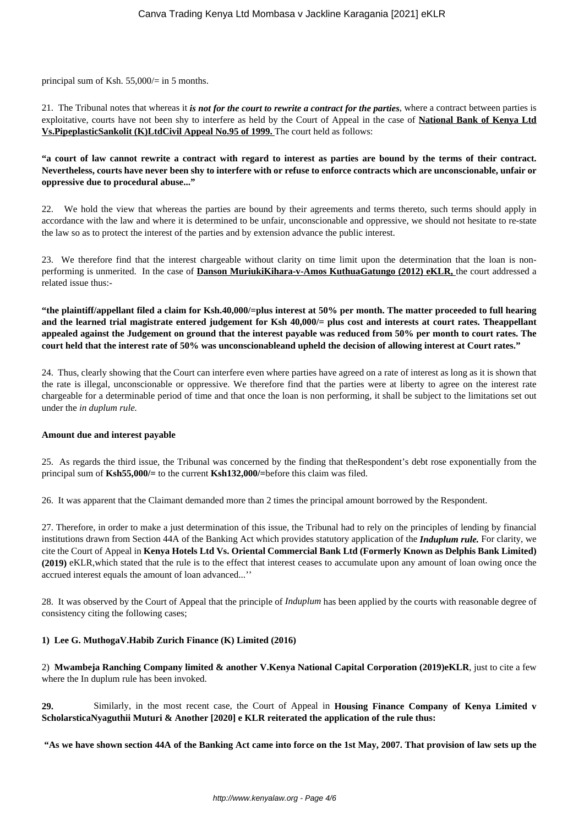principal sum of Ksh. 55,000/= in 5 months.

21. The Tribunal notes that whereas it *is not for the court to rewrite a contract for the parties*, where a contract between parties is exploitative, courts have not been shy to interfere as held by the Court of Appeal in the case of **National Bank of Kenya Ltd Vs.PipeplasticSankolit (K)LtdCivil Appeal No.95 of 1999.** The court held as follows:

## **"a court of law cannot rewrite a contract with regard to interest as parties are bound by the terms of their contract. Nevertheless, courts have never been shy to interfere with or refuse to enforce contracts which are unconscionable, unfair or oppressive due to procedural abuse..."**

22. We hold the view that whereas the parties are bound by their agreements and terms thereto, such terms should apply in accordance with the law and where it is determined to be unfair, unconscionable and oppressive, we should not hesitate to re-state the law so as to protect the interest of the parties and by extension advance the public interest.

23. We therefore find that the interest chargeable without clarity on time limit upon the determination that the loan is nonperforming is unmerited. In the case of **Danson MuriukiKihara-v-Amos KuthuaGatungo (2012) eKLR,** the court addressed a related issue thus:-

**"the plaintiff/appellant filed a claim for Ksh.40,000/=plus interest at 50% per month. The matter proceeded to full hearing and the learned trial magistrate entered judgement for Ksh 40,000/= plus cost and interests at court rates. Theappellant appealed against the Judgement on ground that the interest payable was reduced from 50% per month to court rates. The court held that the interest rate of 50% was unconscionableand upheld the decision of allowing interest at Court rates."**

24. Thus, clearly showing that the Court can interfere even where parties have agreed on a rate of interest as long as it is shown that the rate is illegal, unconscionable or oppressive. We therefore find that the parties were at liberty to agree on the interest rate chargeable for a determinable period of time and that once the loan is non performing, it shall be subject to the limitations set out under the *in duplum rule.* 

#### **Amount due and interest payable**

25. As regards the third issue, the Tribunal was concerned by the finding that theRespondent's debt rose exponentially from the principal sum of **Ksh55,000/=** to the current **Ksh132,000/=**before this claim was filed.

26. It was apparent that the Claimant demanded more than 2 times the principal amount borrowed by the Respondent.

27. Therefore, in order to make a just determination of this issue, the Tribunal had to rely on the principles of lending by financial institutions drawn from Section 44A of the Banking Act which provides statutory application of the *Induplum rule.* For clarity, we cite the Court of Appeal in **Kenya Hotels Ltd Vs. Oriental Commercial Bank Ltd (Formerly Known as Delphis Bank Limited) (2019)** eKLR,which stated that the rule is to the effect that interest ceases to accumulate upon any amount of loan owing once the accrued interest equals the amount of loan advanced...''

28. It was observed by the Court of Appeal that the principle of *Induplum* has been applied by the courts with reasonable degree of consistency citing the following cases;

#### **1) Lee G. MuthogaV.Habib Zurich Finance (K) Limited (2016)**

2) **Mwambeja Ranching Company limited & another V.Kenya National Capital Corporation (2019)eKLR**, just to cite a few where the In duplum rule has been invoked.

**29.** Similarly, in the most recent case, the Court of Appeal in **Housing Finance Company of Kenya Limited v ScholarsticaNyaguthii Muturi & Another [2020] e KLR reiterated the application of the rule thus:** 

**"As we have shown section 44A of the Banking Act came into force on the 1st May, 2007. That provision of law sets up the**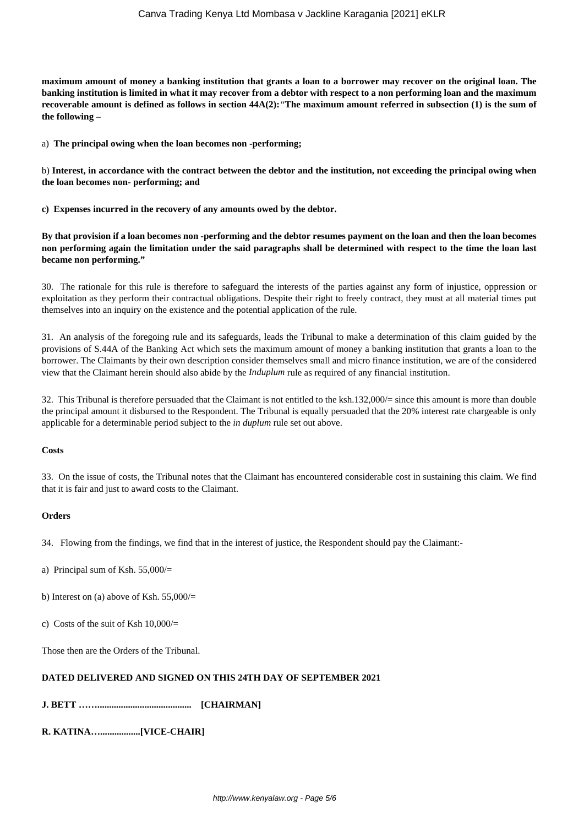**maximum amount of money a banking institution that grants a loan to a borrower may recover on the original loan. The banking institution is limited in what it may recover from a debtor with respect to a non performing loan and the maximum recoverable amount is defined as follows in section 44A(2):***"***The maximum amount referred in subsection (1) is the sum of the following –**

a) **The principal owing when the loan becomes non -performing;**

b) **Interest, in accordance with the contract between the debtor and the institution, not exceeding the principal owing when the loan becomes non- performing; and**

**c) Expenses incurred in the recovery of any amounts owed by the debtor.**

**By that provision if a loan becomes non -performing and the debtor resumes payment on the loan and then the loan becomes non performing again the limitation under the said paragraphs shall be determined with respect to the time the loan last became non performing."**

30. The rationale for this rule is therefore to safeguard the interests of the parties against any form of injustice, oppression or exploitation as they perform their contractual obligations. Despite their right to freely contract, they must at all material times put themselves into an inquiry on the existence and the potential application of the rule.

31. An analysis of the foregoing rule and its safeguards, leads the Tribunal to make a determination of this claim guided by the provisions of S.44A of the Banking Act which sets the maximum amount of money a banking institution that grants a loan to the borrower. The Claimants by their own description consider themselves small and micro finance institution, we are of the considered view that the Claimant herein should also abide by the *Induplum* rule as required of any financial institution.

32. This Tribunal is therefore persuaded that the Claimant is not entitled to the ksh.132,000/= since this amount is more than double the principal amount it disbursed to the Respondent. The Tribunal is equally persuaded that the 20% interest rate chargeable is only applicable for a determinable period subject to the *in duplum* rule set out above.

#### **Costs**

33. On the issue of costs, the Tribunal notes that the Claimant has encountered considerable cost in sustaining this claim. We find that it is fair and just to award costs to the Claimant.

#### **Orders**

34. Flowing from the findings, we find that in the interest of justice, the Respondent should pay the Claimant:-

- a) Principal sum of Ksh. 55,000/=
- b) Interest on (a) above of Ksh.  $55,000/$
- c) Costs of the suit of Ksh  $10,000/$

Those then are the Orders of the Tribunal.

#### **DATED DELIVERED AND SIGNED ON THIS 24TH DAY OF SEPTEMBER 2021**

**J. BETT ……........................................ [CHAIRMAN]**

**R. KATINA….................[VICE-CHAIR]**